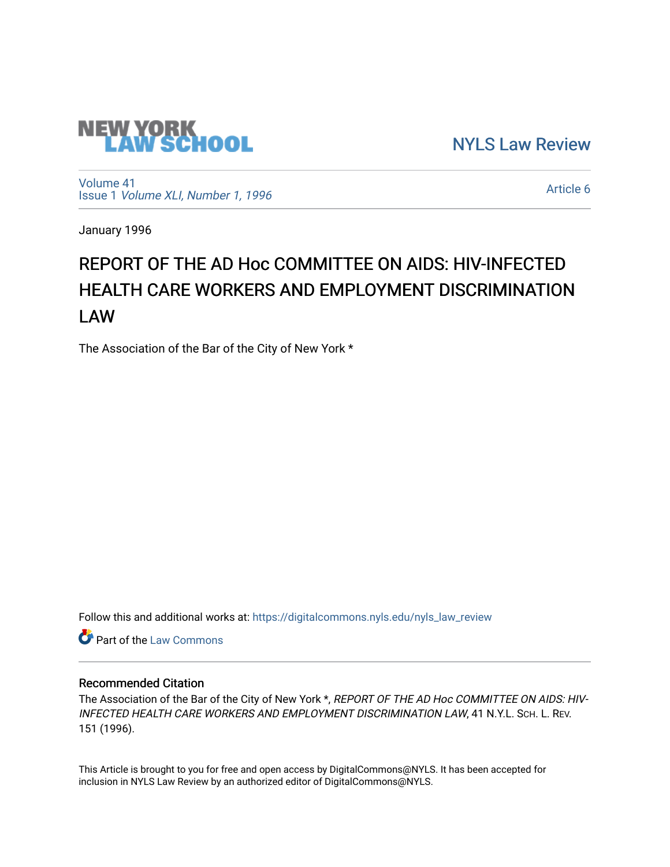

[NYLS Law Review](https://digitalcommons.nyls.edu/nyls_law_review) 

[Volume 41](https://digitalcommons.nyls.edu/nyls_law_review/vol41) Issue 1 [Volume XLI, Number 1, 1996](https://digitalcommons.nyls.edu/nyls_law_review/vol41/iss1)

[Article 6](https://digitalcommons.nyls.edu/nyls_law_review/vol41/iss1/6) 

January 1996

# REPORT OF THE AD Hoc COMMITTEE ON AIDS: HIV-INFECTED HEALTH CARE WORKERS AND EMPLOYMENT DISCRIMINATION LAW

The Association of the Bar of the City of New York \*

Follow this and additional works at: [https://digitalcommons.nyls.edu/nyls\\_law\\_review](https://digitalcommons.nyls.edu/nyls_law_review?utm_source=digitalcommons.nyls.edu%2Fnyls_law_review%2Fvol41%2Fiss1%2F6&utm_medium=PDF&utm_campaign=PDFCoverPages) 

Part of the [Law Commons](https://network.bepress.com/hgg/discipline/578?utm_source=digitalcommons.nyls.edu%2Fnyls_law_review%2Fvol41%2Fiss1%2F6&utm_medium=PDF&utm_campaign=PDFCoverPages)

## Recommended Citation

The Association of the Bar of the City of New York \*, REPORT OF THE AD Hoc COMMITTEE ON AIDS: HIV-INFECTED HEALTH CARE WORKERS AND EMPLOYMENT DISCRIMINATION LAW, 41 N.Y.L. SCH. L. REV. 151 (1996).

This Article is brought to you for free and open access by DigitalCommons@NYLS. It has been accepted for inclusion in NYLS Law Review by an authorized editor of DigitalCommons@NYLS.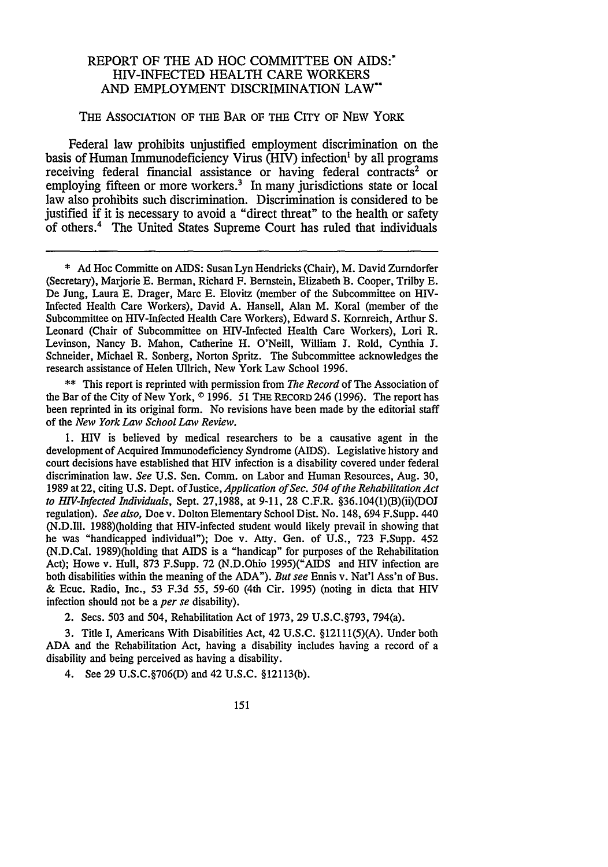## REPORT OF THE AD HOC COMMITTEE ON AIDS:\* HIV-INFECTED HEALTH CARE WORKERS AND EMPLOYMENT DISCRIMINATION LAW\*

#### THE ASSOCIATION OF THE BAR OF THE CITY OF NEW YORK

Federal law prohibits unjustified employment discrimination on the basis of Human Immunodeficiency Virus (HIV) infection' by all programs receiving federal financial assistance or having federal contracts<sup>2</sup> or employing fifteen or more workers.<sup>3</sup> In many jurisdictions state or local law also prohibits such discrimination. Discrimination is considered to be iustified if it is necessary to avoid a "direct threat" to the health or safety of others.4 The United States Supreme Court has ruled that individuals

\*\* This report is reprinted with permission from *The Record* of The Association of the Bar of the City of New York, **0** 1996. 51 THE REcoRD 246 (1996). The report has been reprinted in its original form. No revisions have been made by the editorial staff of the *New York Law School Law Review.*

1. HIV is believed by medical researchers to be a causative agent in the development of Acquired Immunodeficiency Syndrome (AIDS). Legislative history and court decisions have established that HIV infection is a disability covered under federal discrimination law. *See* U.S. Sen. Comm. on Labor and Human Resources, Aug. 30, 1989 at 22, citing U.S. Dept. of Justice, *Application of Sec. 504 of the Rehabilitation Act to HIV-Infected Individuals,* Sept. 27,1988, at 9-11, 28 C.F.R. §36.104(1)(B)(ii)(DOJ regulation). *See also,* Doe v. Dolton Elementary School Dist. No. 148, 694 F.Supp. 440 (N.D.Ill. 1988)(holding that HIV-infected student would likely prevail in showing that he was "handicapped individual"); Doe v. Atty. Gen. of U.S., 723 F.Supp. 452 (N.D.Cal. 1989)(holding that AIDS is a "handicap" for purposes of the Rehabilitation Act); Howe v. Hull, 873 F.Supp. 72 (N.D.Ohio 1995)("AIDS and HIV infection are both disabilities within the meaning of the ADA"). *But see* Ennis v. Nat'l Ass'n of Bus. & Ecuc. Radio, Inc., 53 F.3d 55, 59-60 (4th Cir. 1995) (noting in dicta that HIV infection should not be a *per se* disability).

2. Sees. 503 and 504, Rehabilitation Act of 1973, 29 U.S.C.§793, 794(a).

3. Title I, Americans With Disabilities Act, 42 U.S.C. §12111(5)(A). Under both ADA and the Rehabilitation Act, having a disability includes having a record of a disability and being perceived as having a disability.

4. See 29 U.S.C.§706(D) and 42 U.S.C. §12113(b).

<sup>\*</sup> Ad Hoc Committe on AIDS: Susan Lyn Hendricks (Chair), M. David Zurndorfer (Secretary), Marjorie E. Berman, Richard F. Bernstein, Elizabeth B. Cooper, Trilby **E.** De Jung, Laura E. Drager, Marc **E.** Elovitz (member of the Subcommittee on HIV-Infected Health Care Workers), David A. Hansell, Alan M. Koral (member of the Subcommittee on HIV-Infected Health Care Workers), Edward S. Kornreich, Arthur S. Leonard (Chair of Subcommittee on HIV-Infected Health Care Workers), Lori R. Levinson, Nancy B. Mahon, Catherine H. O'Neill, William **J.** Rold, Cynthia **J.** Schneider, Michael R. Sonberg, Norton Spritz. The Subcommittee acknowledges the research assistance of Helen Ullrich, New York Law School 1996.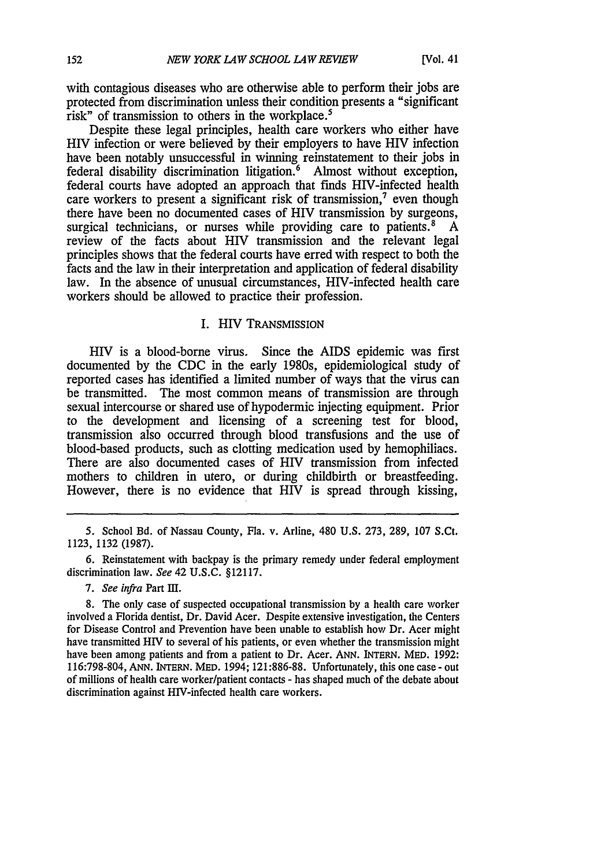with contagious diseases who are otherwise able to perform their jobs are protected from discrimination unless their condition presents a "significant risk" of transmission to others in the workplace.<sup>5</sup>

Despite these legal principles, health care workers who either have HIV infection or were believed by their employers to have HIV infection have been notably unsuccessful in winning reinstatement to their jobs in federal disability discrimination litigation.<sup>6</sup> Almost without exception, federal courts have adopted an approach that finds HIV-infected health care workers to present a significant risk of transmission,<sup>7</sup> even though there have been no documented cases of HIV transmission by surgeons, surgical technicians, or nurses while providing care to patients. $8 \text{ A}$ review of the facts about HIV transmission and the relevant legal principles shows that the federal courts have erred with respect to both the facts and the law in their interpretation and application of federal disability law. In the absence of unusual circumstances, HIV-infected health care workers should be allowed to practice their profession.

#### I. HIV TRANSMISSION

HIV is a blood-borne virus. Since the AIDS epidemic was first documented **by** the CDC in the early 1980s, epidemiological study of reported cases has identified a limited number of ways that the virus can be transmitted. The most common means of transmission are through sexual intercourse or shared use of hypodermic injecting equipment. Prior to the development and licensing of a screening test for blood, transmission also occurred through blood transfusions and the use of blood-based products, such as clotting medication used **by** hemophiliacs. There are also documented cases of HIV transmission from infected mothers to children in utero, or during childbirth or breastfeeding. However, there is no evidence that HIV is spread through kissing,

**5.** School Bd. of Nassau County, Fla. v. Arline, 480 **U.S.** 273, 289, 107 S.Ct. 1123, 1132 (1987).

*7. See infra* Part **III.**

8. The only case of suspected occupational transmission **by** a health care worker involved a Florida dentist, Dr. David Acer. Despite extensive investigation, the Centers for Disease Control and Prevention have been unable to establish how Dr. Acer might have transmitted HIV to several of his patients, or even whether the transmission might have been among patients and from a patient to Dr. Acer. ANN. INTERN. MED. 1992: 116:798-804, ANN. INTERN. MED. 1994; 121:886-88. Unfortunately, this one case - out of millions of health care worker/patient contacts - has shaped much of the debate about discrimination against HIV-infected health care workers.

**<sup>6.</sup>** Reinstatement with backpay is the primary remedy under federal employment discrimination law. *See* 42 **U.S.C.** §12117.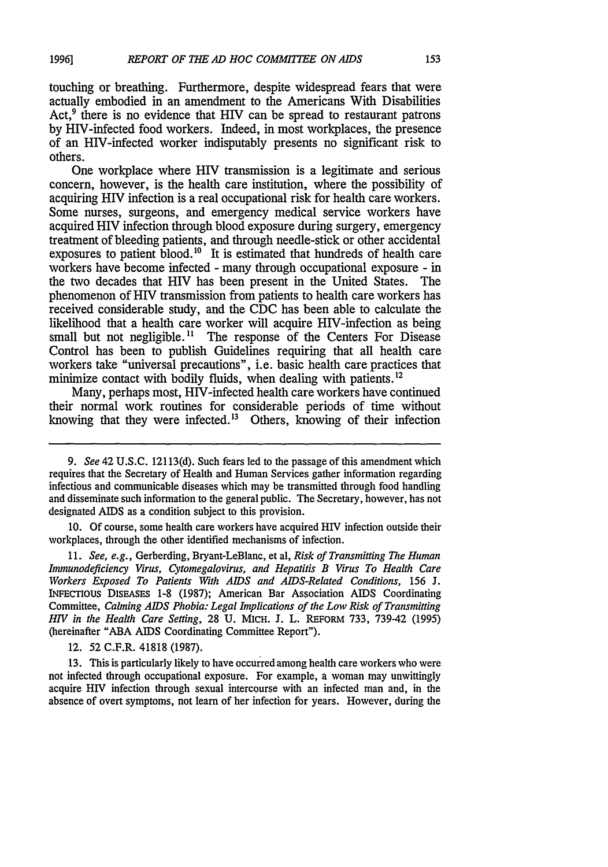touching or breathing. Furthermore, despite widespread fears that were actually embodied in an amendment to the Americans With Disabilities Act,<sup>9</sup> there is no evidence that HIV can be spread to restaurant patrons by HIV-infected food workers. Indeed, in most workplaces, the presence of an HIV-infected worker indisputably presents no significant risk to others.

One workplace where HIV transmission is a legitimate and serious concern, however, is the health care institution, where the possibility of acquiring HIV infection is a real occupational risk for health care workers. Some nurses, surgeons, and emergency medical service workers have acquired HIV infection through blood exposure during surgery, emergency treatment of bleeding patients, and through needle-stick or other accidental exposures to patient blood.<sup>10</sup> It is estimated that hundreds of health care workers have become infected - many through occupational exposure - in the two decades that HIV has been present in the United States. The phenomenon of HIV transmission from patients to health care workers has received considerable study, and the CDC has been able to calculate the likelihood that a health care worker will acquire HIV-infection as being small but not negligible.<sup>11</sup> The response of the Centers For Disease Control has been to publish Guidelines requiring that all health care workers take "universal precautions", i.e. basic health care practices that minimize contact with bodily fluids, when dealing with patients.<sup>12</sup>

Many, perhaps most, HIV-infected health care workers have continued their normal work routines for considerable periods of time without knowing that they were infected.'3 Others, knowing of their infection

10. Of course, some health care workers have acquired HIV infection outside their workplaces, through the other identified mechanisms of infection.

11. *See, e.g.,* Gerberding, Bryant-LeBlanc, et al, *Risk of Transmitting The Human Immunodeficiency Virus, Cytomegalovirus, and Hepatitis B Virus To Health Care Workers Exposed To Patients With AIDS and AIDS-Related Conditions, 156* J. INFECTIOUS **DIsEAsES** 1-8 (1987); American Bar Association AIDS Coordinating Committee, *Calming AIDS Phobia: Legal Implications of the Low Risk of Transmitting HIV in the Health Care Setting,* 28 U. MICH. **J.** L. REFORM 733, 739-42 (1995) (hereinafter "ABA AIDS Coordinating Committee Report").

12. 52 C.F.R. 41818 (1987).

13. This is particularly likely to have occurred among health care workers who were not infected through occupational exposure. For example, a woman may unwittingly acquire HIV infection through sexual intercourse with an infected man and, in the absence of overt symptoms, not learn of her infection for years. However, during the

*<sup>9.</sup> See* 42 U.S.C. 12113(d). Such fears led to the passage of this amendment which requires that the Secretary of Health and Human Services gather information regarding infectious and communicable diseases which may be transmitted through food handling and disseminate such information to the general public. The Secretary, however, has not designated AIDS as a condition subject to this provision.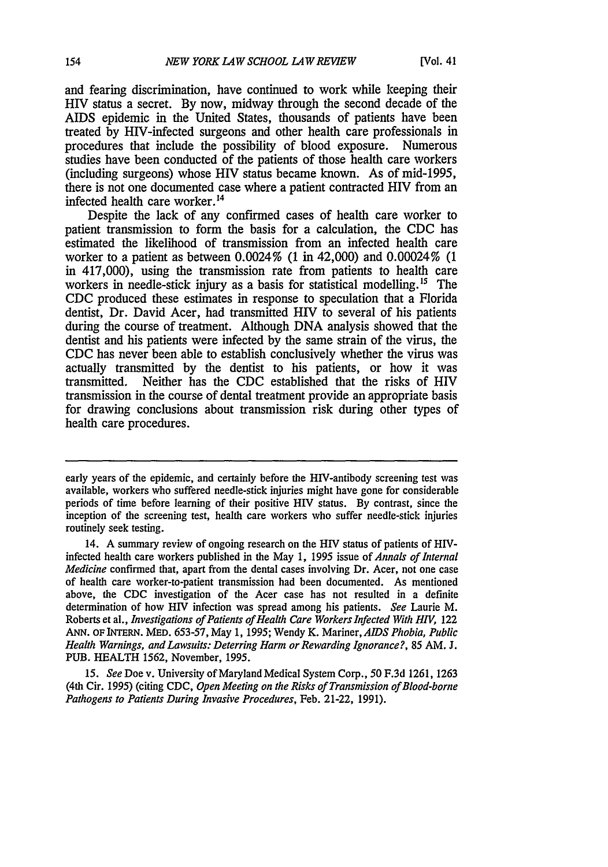and fearing discrimination, have continued to work while keeping their HIV status a secret. By now, midway through the second decade of the AIDS epidemic in the United States, thousands of patients have been treated by HIV-infected surgeons and other health care professionals in procedures that include the possibility of blood exposure. Numerous studies have been conducted of the patients of those health care workers (including surgeons) whose HIV status became known. As of mid-1995, there is not one documented case where a patient contracted HIV from an infected health care worker.<sup>14</sup>

Despite the lack of any confirmed cases of health care worker to patient transmission to form the basis for a calculation, the CDC has estimated the likelihood of transmission from an infected health care worker to a patient as between 0.0024% (1 in 42,000) and 0.00024% (1 in 417,000), using the transmission rate from patients to health care workers in needle-stick injury as a basis for statistical modelling.<sup>15</sup> The **CDC** produced these estimates in response to speculation that a Florida dentist, Dr. David Acer, had transmitted HIV to several of his patients during the course of treatment. Although DNA analysis showed that the dentist and his patients were infected by the same strain of the virus, the CDC has never been able to establish conclusively whether the virus was actually transmitted by the dentist to his patients, or how it was transmitted. Neither has the CDC established that the risks of HIV transmission in the course of dental treatment provide an appropriate basis for drawing conclusions about transmission risk during other types of health care procedures.

early years of the epidemic, and certainly before the HIV-antibody screening test was available, workers who suffered needle-stick injuries might have gone for considerable periods of time before learning of their positive HIV status. By contrast, since the inception of the screening test, health care workers who suffer needle-stick injuries routinely seek testing.

<sup>14.</sup> A summary review of ongoing research on the HIV status of patients of HIVinfected health care workers published in the May 1, 1995 issue of *Annals of Internal Medicine* confirmed that, apart from the dental cases involving Dr. Acer, not one case of health care worker-to-patient transmission had been documented. As mentioned above, the CDC investigation of the Acer case has not resulted in a definite determination of how HIV infection was spread among his patients. *See* Laurie M. Roberts et al., *Investigations of Patients of Health Care Workers Infected With HIV,* 122 **ANN. OF** INTERN. MED. 653-57, May 1, 1995; Wendy K. Mariner, *AIDS Phobia, Public Health Warnings, and Lawsuits: Deterring Harm or Rewarding Ignorance?,* 85 AM. **J.** PUB. HEALTH 1562, November, 1995.

*<sup>15.</sup> See* Doe v. University of Maryland Medical System Corp., 50 F.3d 1261, 1263 (4th Cir. 1995) (citing CDC, *Open Meeting on the Risks of Transmission of Blood-borne Pathogens to Patients During Invasive Procedures,* Feb. 21-22, 1991).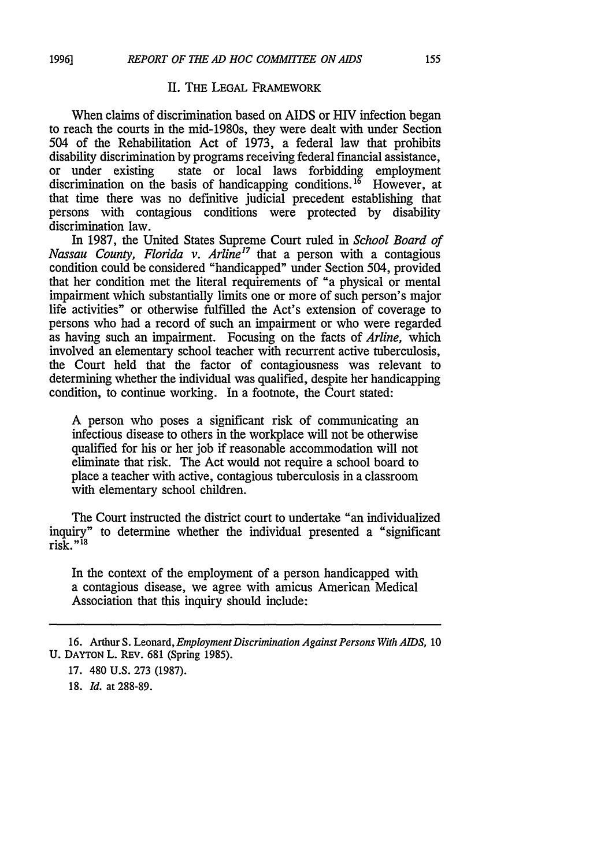## II. THE **LEGAL** FRAMEWORK

When claims of discrimination based on AIDS or HIV infection began to reach the courts in the mid-1980s, they were dealt with under Section 504 of the Rehabilitation Act of 1973, a federal law that prohibits disability discrimination by programs receiving federal financial assistance, or under existing state or local laws forbidding employment discrimination on the basis of handicapping conditions.<sup>16</sup> However, at that time there was no definitive judicial precedent establishing that persons with contagious conditions were protected by disability discrimination law.

In 1987, the United States Supreme Court ruled in *School Board of Nassau County, Florida v. Arline<sup>17</sup>* that a person with a contagious condition could be considered "handicapped" under Section 504, provided that her condition met the literal requirements of "a physical or mental impairment which substantially limits one or more of such person's major life activities" or otherwise fulfilled the Act's extension of coverage to persons who had a record of such an impairment or who were regarded as having such an impairment. Focusing on the facts of *Arline,* which involved an elementary school teacher with recurrent active tuberculosis, the Court held that the factor of contagiousness was relevant to determining whether the individual was qualified, despite her handicapping condition, to continue working. In a footnote, the Court stated:

A person who poses a significant risk of communicating an infectious disease to others in the workplace will not be otherwise qualified for his or her **job** if reasonable accommodation will not eliminate that risk. The Act would not require a school board to place a teacher with active, contagious tuberculosis in a classroom with elementary school children.

The Court instructed the district court to undertake "an individualized inquiry" to determine whether the individual presented a "significant risk."18

In the context of the employment of a person handicapped with a contagious disease, we agree with amicus American Medical Association that this inquiry should include:

18. *Id.* at 288-89.

<sup>16.</sup> Arthur S. Leonard, *Employment Discrimination Against Persons With AIDS,* 10 U. **DAYTON** L. REv. 681 (Spring 1985).

<sup>17. 480</sup> U.S. 273 (1987).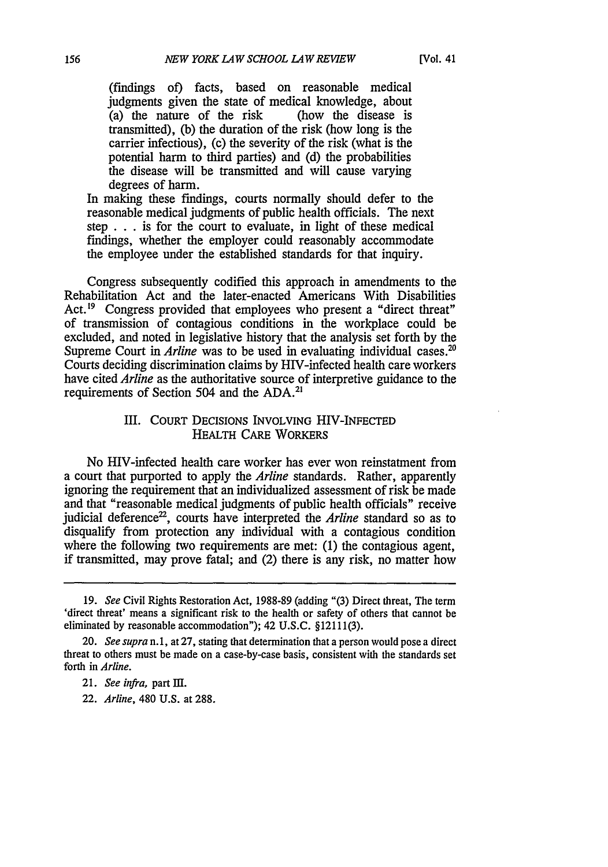(findings of) facts, based on reasonable medical judgments given the state of medical knowledge, about (a) the nature of the risk (how the disease is  $(a)$  the nature of the risk transmitted), (b) the duration of the risk (how long is the carrier infectious), (c) the severity of the risk (what is the potential harm to third parties) and (d) the probabilities the disease will be transmitted and will cause varying degrees of harm.

In making these findings, courts normally should defer to the reasonable medical judgments of public health officials. The next step . . . is for the court to evaluate, in light of these medical findings, whether the employer could reasonably accommodate the employee under the established standards for that inquiry.

Congress subsequently codified this approach in amendments to the Rehabilitation Act and the later-enacted Americans With Disabilities Act.<sup>19</sup> Congress provided that employees who present a "direct threat" of transmission of contagious conditions in the workplace could be excluded, and noted in legislative history that the analysis set forth by the Supreme Court in *Arline* was to be used in evaluating individual cases.<sup>20</sup> Courts deciding discrimination claims by HIV-infected health care workers have cited *Arline* as the authoritative source of interpretive guidance to the requirements of Section 504 and the ADA.2'

## III. COURT DECISIONS INVOLVING HIV-INFECTED HEALTH CARE WORKERS

No HIV-infected health care worker has ever won reinstatment from a court that purported to apply the *Arline* standards. Rather, apparently ignoring the requirement that an individualized assessment of risk be made and that "reasonable medical judgments of public health officials" receive judicial deference<sup>22</sup>, courts have interpreted the *Arline* standard so as to disqualify from protection any individual with a contagious condition where the following two requirements are met: (1) the contagious agent, if transmitted, may prove fatal; and (2) there is any risk, no matter how

22. *Arline,* 480 U.S. at 288.

<sup>19.</sup> *See* Civil Rights Restoration Act, 1988-89 (adding "(3) Direct threat, The term 'direct threat' means a significant risk to the health or safety of others that cannot be eliminated by reasonable accommodation"); 42 U.S.C. §12111(3).

<sup>20.</sup> See supra n.1, at 27, stating that determination that a person would pose a direct threat to others must be made on a case-by-case basis, consistent with the standards set forth in *Arline.*

<sup>21.</sup> *See infra,* part MI.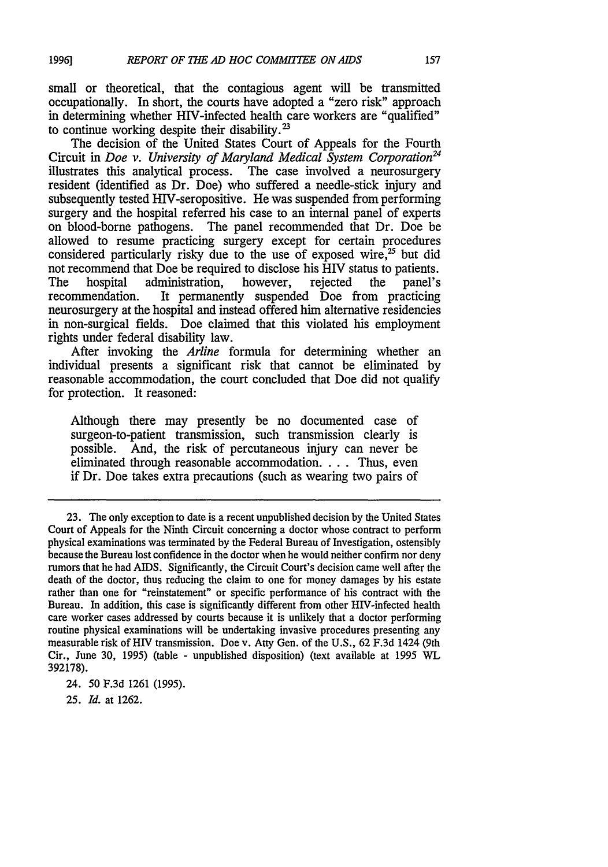small or theoretical, that the contagious agent will be transmitted occupationally. In short, the courts have adopted a "zero risk" approach in determining whether HIV-infected health care workers are "qualified" to continue working despite their disability.<sup>23</sup>

The decision of the United States Court of Appeals for the Fourth Circuit in *Doe v. University of Maryland Medical System Corporation*<sup>24</sup> illustrates this analytical process. The case involved a neurosurgery resident (identified as Dr. Doe) who suffered a needle-stick injury and subsequently tested HIV-seropositive. He was suspended from performing surgery and the hospital referred his case to an internal panel of experts on blood-borne pathogens. The panel recommended that Dr. Doe be allowed to resume practicing surgery except for certain procedures considered particularly risky due to the use of exposed wire, $25$  but did not recommend that Doe be required to disclose his HIV status to patients.<br>The hospital administration, however, rejected the panel's The hospital administration,<br>recommendation. It permanel It permanently suspended Doe from practicing neurosurgery at the hospital and instead offered him alternative residencies in non-surgical fields. Doe claimed that this violated his employment rights under federal disability law.

After invoking the *Arline* formula for determining whether an individual presents a significant risk that cannot be eliminated by reasonable accommodation, the court concluded that Doe did not qualify for protection. It reasoned:

Although there may presently be no documented case of surgeon-to-patient transmission, such transmission clearly is possible. And, the risk of percutaneous injury can never be eliminated through reasonable accommodation **....** Thus, even if Dr. Doe takes extra precautions (such as wearing two pairs of

**25.** *Id.* at 1262.

<sup>23.</sup> The only exception to date is a recent unpublished decision by the United States Court of Appeals for the Ninth Circuit concerning a doctor whose contract to perform physical examinations was terminated by the Federal Bureau of Investigation, ostensibly because the Bureau lost confidence in the doctor when he would neither confirm nor deny rumors that he had AIDS. Significantly, the Circuit Court's decision came well after the death of the doctor, thus reducing the claim to one for money damages by his estate rather than one for "reinstatement" or specific performance of his contract with the Bureau. In addition, this case is significantly different from other HIV-infected health care worker cases addressed by courts because it is unlikely that a doctor performing routine physical examinations will be undertaking invasive procedures presenting any measurable risk of HIV transmission. Doe v. Atty Gen. of the U.S., 62 F.3d 1424 (9th Cir., June 30, 1995) (table - unpublished disposition) (text available at 1995 WL 392178).

<sup>24. 50</sup> F.3d 1261 (1995).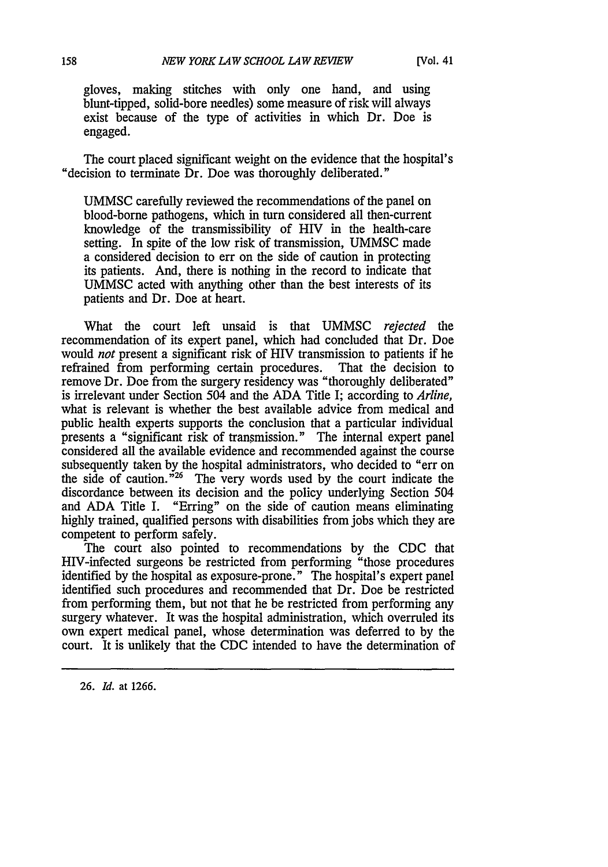gloves, making stitches with only one hand, and using blunt-tipped, solid-bore needles) some measure of risk will always exist because of the type of activities in which Dr. Doe is engaged.

The court placed significant weight on the evidence that the hospital's "decision to terminate Dr. Doe was thoroughly deliberated."

UMMSC carefully reviewed the recommendations of the panel on blood-borne pathogens, which in turn considered all then-current knowledge of the transmissibility of HIV in the health-care setting. In spite of the low risk of transmission, UMMSC made a considered decision to err on the side of caution in protecting its patients. And, there is nothing in the record to indicate that UMMSC acted with anything other than the best interests of its patients and Dr. Doe at heart.

What the court left unsaid is that UMMSC *rejected the* recommendation of its expert panel, which had concluded that Dr. Doe would *not* present a significant risk of HIV transmission to patients if he refrained from performing certain procedures. That the decision to remove Dr. Doe from the surgery residency was "thoroughly deliberated" is irrelevant under Section 504 and the ADA Title I; according to *Arline,* what is relevant is whether the best available advice from medical and public health experts supports the conclusion that a particular individual presents a "significant risk of transmission." The internal expert panel considered all the available evidence and recommended against the course subsequently taken by the hospital administrators, who decided to "err on the side of caution. $i^{26}$  The very words used by the court indicate the discordance between its decision and the policy underlying Section 504 and ADA Title I. "Erring" on the side of caution means eliminating highly trained, qualified persons with disabilities from jobs which they are competent to perform safely.

The court also pointed to recommendations by the CDC that HIV-infected surgeons be restricted from performing "those procedures identified by the hospital as exposure-prone." The hospital's expert panel identified such procedures and recommended that Dr. Doe be restricted from performing them, but not that he be restricted from performing any surgery whatever. It was the hospital administration, which overruled its own expert medical panel, whose determination was deferred to by the court. It is unlikely that the CDC intended to have the determination of

26. *Id.* at 1266.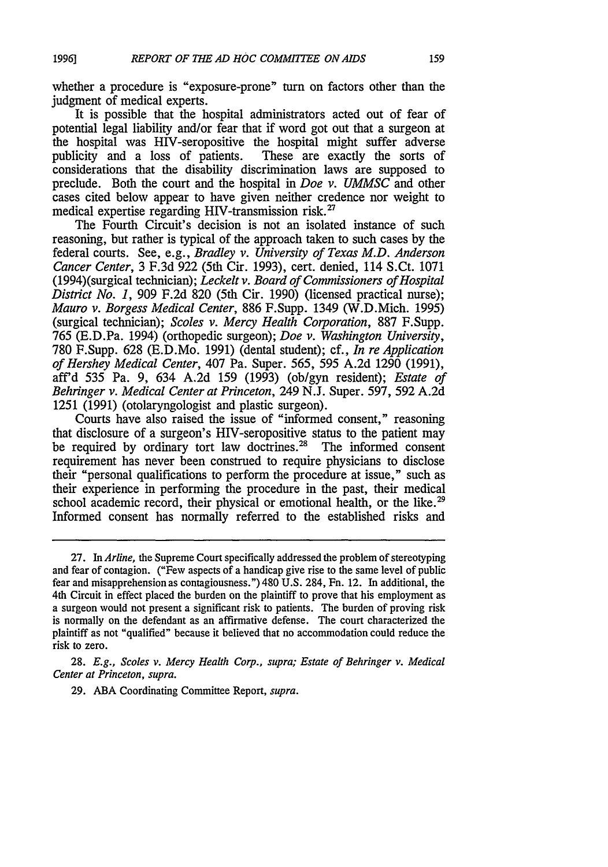**1996]**

whether a procedure is "exposure-prone" turn on factors other than the judgment of medical experts.

It is possible that the hospital administrators acted out of fear of potential legal liability and/or fear that if word got out that a surgeon at the hospital was HIV-seropositive the hospital might suffer adverse<br>publicity and a loss of patients. These are exactly the sorts of publicity and a loss of patients. considerations that the disability discrimination laws are supposed to preclude. Both the court and the hospital in *Doe v. UMMSC* and other cases cited below appear to have given neither credence nor weight to medical expertise regarding HIV-transmission risk.<sup>27</sup>

The Fourth Circuit's decision is not an isolated instance of such reasoning, but rather is typical of the approach taken to such cases by the federal courts. See, e.g., *Bradley v. University of Texas M.D. Anderson Cancer Center,* 3 F.3d 922 (5th Cir. 1993), cert. denied, 114 S.Ct. 1071 (1994)(surgical technician); *Leckelt v. Board of Commissioners of Hospital District No. 1,* 909 F.2d 820 (5th Cir. 1990) (licensed practical nurse); *Mauro v. Borgess Medical Center,* 886 F.Supp. 1349 (W.D.Mich. 1995) (surgical technician); *Scoles v. Mercy Health Corporation,* 887 F.Supp. 765 (E.D.Pa. 1994) (orthopedic surgeon); *Doe v. Washington University,* 780 F.Supp. 628 (E.D.Mo. 1991) (dental student); cf., *In re Application of Hershey Medical Center,* 407 Pa. Super. 565, 595 A.2d 1290 (1991), aff'd 535 Pa. 9, 634 A.2d 159 (1993) (ob/gyn resident); *Estate of Behringer v. Medical Center at Princeton,* 249 N.J. Super. 597, 592 A.2d 1251 (1991) (otolaryngologist and plastic surgeon).

Courts have also raised the issue of "informed consent," reasoning that disclosure of a surgeon's HIV-seropositive status to the patient may be required by ordinary tort law doctrines.<sup>28</sup> The informed consent requirement has never been construed to require physicians to disclose their "personal qualifications to perform the procedure at issue," such as their experience in performing the procedure in the past, their medical school academic record, their physical or emotional health, or the like.<sup>29</sup> Informed consent has normally referred to the established risks and

28. *E.g., Scoles v. Mercy Health Corp., supra; Estate of Behringer v. Medical Center at Princeton, supra.*

**29.** ABA Coordinating Committee Report, *supra.*

<sup>27.</sup> In *Arline,* the Supreme Court specifically addressed the problem of stereotyping and fear of contagion. ("Few aspects of a handicap give rise to the same level of public fear and misapprehension as contagiousness.") 480 U.S. 284, Fn. 12. In additional, the 4th Circuit in effect placed the burden on the plaintiff to prove that his employment as a surgeon would not present a significant risk to patients. The burden of proving risk is normally on the defendant as an affirmative defense. The court characterized the plaintiff as not "qualified" because it believed that no accommodation could reduce the risk to zero.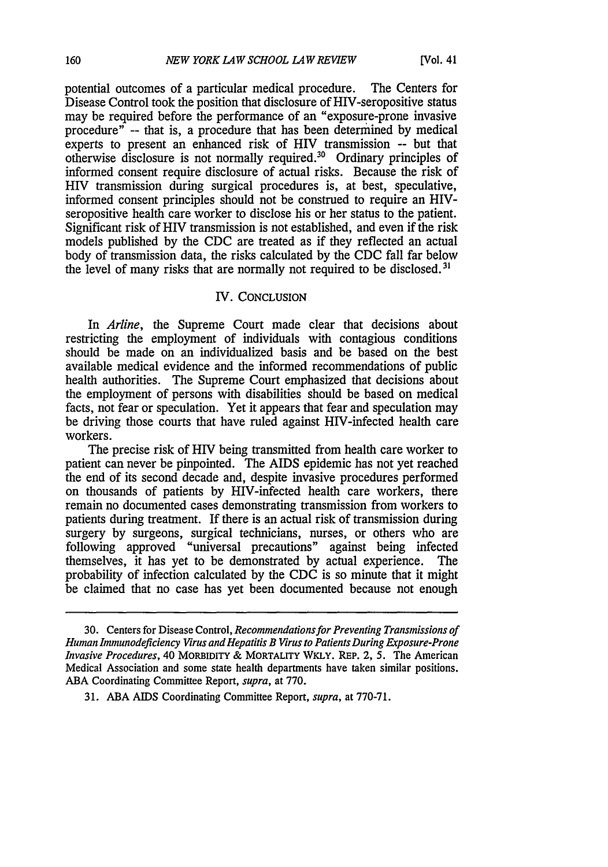potential outcomes of a particular medical procedure. The Centers for Disease Control took the position that disclosure of HIV-seropositive status may be required before the performance of an "exposure-prone invasive procedure" -- that is, a procedure that has been determined by medical experts to present an enhanced risk of HIV transmission **--** but that otherwise disclosure is not normally required.<sup>30</sup> Ordinary principles of informed consent require disclosure of actual risks. Because the risk of HIV transmission during surgical procedures is, at best, speculative, informed consent principles should not be construed to require an HIVseropositive health care worker to disclose his or her status to the patient. Significant risk of HIV transmission is not established, and even if the risk models published by the CDC are treated as if they reflected an actual body of transmission data, the risks calculated by the CDC fall far below the level of many risks that are normally not required to be disclosed. **31**

## IV. CONCLUSION

In *Arline,* the Supreme Court made clear that decisions about restricting the employment of individuals with contagious conditions should be made on an individualized basis and be based on the best available medical evidence and the informed recommendations of public health authorities. The Supreme Court emphasized that decisions about the employment of persons with disabilities should be based on medical facts, not fear or speculation. Yet it appears that fear and speculation may be driving those courts that have ruled against HIV-infected health care workers.

The precise risk of HIV being transmitted from health care worker to patient can never be pinpointed. The AIDS epidemic has not yet reached the end of its second decade and, despite invasive procedures performed on thousands of patients by HIV-infected health care workers, there remain no documented cases demonstrating transmission from workers to patients during treatment. If there is an actual risk of transmission during surgery by surgeons, surgical technicians, nurses, or others who are following approved "universal precautions" against being infected themselves, it has yet to be demonstrated by actual experience. The probability of infection calculated by the CDC is so minute that it might be claimed that no case has yet been documented because not enough

<sup>30.</sup> Centers for Disease Control, *Recommendations for Preventing Transmissions of Human Immunodeficiency Virus and Hepatitis B Virus to Patients During Exposure-Prone Invasive Procedures,* 40 MORBIDITY & MORTALITY WKLY. REP. 2, 5. The American Medical Association and some state health departments have taken similar positions. ABA Coordinating Committee Report, *supra,* at 770.

<sup>31.</sup> ABA AIDS Coordinating Committee Report, *supra,* at 770-71.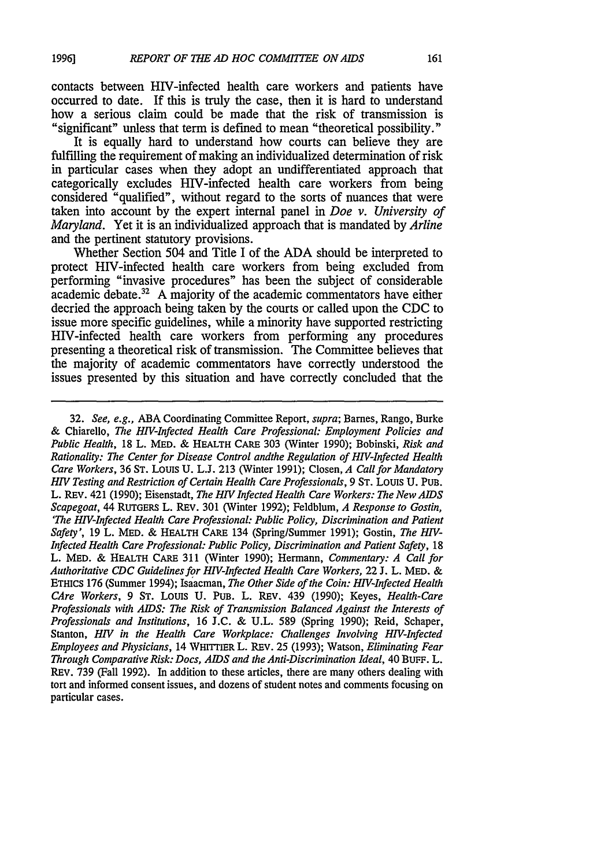contacts between HIV-infected health care workers and patients have occurred to date. If this is truly the case, then it is hard to understand how a serious claim could be made that the risk of transmission is "significant" unless that term is defined to mean "theoretical possibility."

It is equally hard to understand how courts can believe they are fulfilling the requirement of making an individualized determination of risk in particular cases when they adopt an undifferentiated approach that categorically excludes HIV-infected health care workers from being considered "qualified", without regard to the sorts of nuances that were taken into account by the expert internal panel in *Doe v. University of Maryland.* Yet it is an individualized approach that is mandated by *Arline* and the pertinent statutory provisions.

Whether Section 504 and Title I of the ADA should be interpreted to protect HIV-infected health care workers from being excluded from performing "invasive procedures" has been the subject of considerable academic debate. $32$  A majority of the academic commentators have either decried the approach being taken by the courts or called upon the CDC to issue more specific guidelines, while a minority have supported restricting HIV-infected health care workers from performing any procedures presenting a theoretical risk of transmission. The Committee believes that the majority of academic commentators have correctly understood the issues presented by this situation and have correctly concluded that the

32. *See, e.g.,* ABA Coordinating Committee Report, *supra;* Barnes, Rango, Burke & Chiarello, *The HIV-Infected Health Care Professional: Employment Policies and Public Health,* 18 L. MED. **&** HEALTH CARE 303 (Winter 1990); Bobinski, *Risk and Rationality: The Center for Disease Control andthe Regulation of HIV-Infected Health Care Workers,* 36 **ST.** Louis U. L.J. 213 (Winter 1991); Closen, *A Call for Mandatory HIV Testing and Restriction of Certain Health Care Professionals,* 9 **ST.** Louis U. PUB. L. REv. 421 (1990); Eisenstadt, *The HIV Infected Health Care Workers: The New AIDS Scapegoat,* 44 RUTGERS L. REV. 301 (Winter 1992); Feldblum, *A Response to Gostin, 'The HIV-Infected Health Care Professional: Public Policy, Discrimination and Patient Safety',* 19 L. MED. **&** HEALTH CARE 134 (Spring/Summer 1991); Gostin, *The HIV-Infected Health Care Professional: Public Policy, Discrimination and Patient Safety, 18* L. MED. **&** HEALTH CARE 311 (Winter 1990); Hermann, *Commentary: A Call for Authoritative CDC Guidelines for HIV-Infected Health Care Workers,* 22 J. L. MED. & ETHICS 176 (Summer 1994); Isaacman, *The Other Side of the Coin: HIV-Infected Health CAre Workers,* 9 ST. Louis U. PUB. L. REV. 439 (1990); Keyes, *Health-Care Professionals with AIDS: The Risk of Transmission Balanced Against the Interests of Professionals and Institutions,* 16 J.C. & U.L. 589 (Spring 1990); Reid, Schaper, Stanton, *HIV in the Health Care Workplace: Challenges Involving HIV-Infected Employees and Physicians,* 14 WHITTIER L. REV. 25 (1993); Watson, *Eliminating Fear Through Comparative Risk: Docs, AIDS and the Anti-Discrimination Ideal,* 40 BUFF. L. REv. 739 (Fall 1992). In addition to these articles, there are many others dealing with tort and informed consent issues, and dozens of student notes and comments focusing on particular cases.